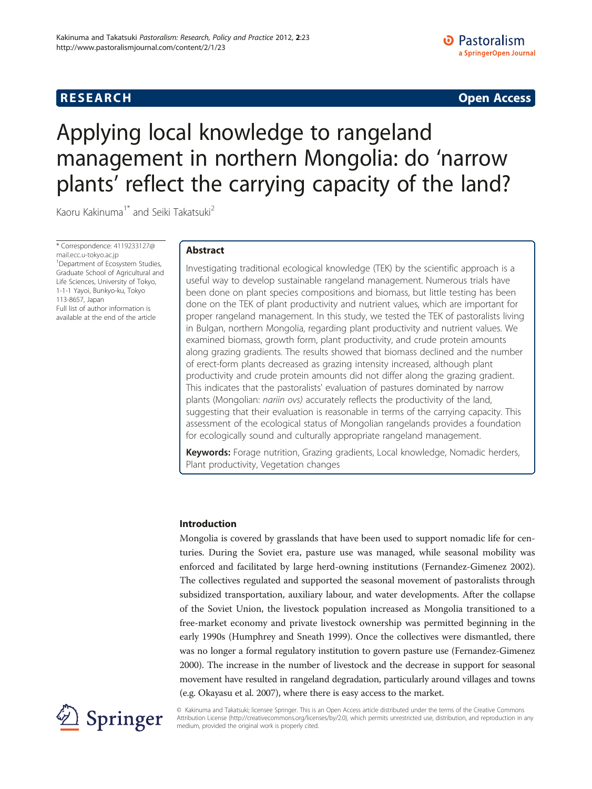### **RESEARCH RESEARCH CONSUMING ACCESS**

# a SpringerOpen Journal

**D** Pastoralism

## Applying local knowledge to rangeland management in northern Mongolia: do 'narrow plants' reflect the carrying capacity of the land?

Kaoru Kakinuma<sup>1\*</sup> and Seiki Takatsuki<sup>2</sup>

\* Correspondence: [4119233127@](mailto:4119233127@mail.ecc.u--okyo.ac.jp) [mail.ecc.u-tokyo.ac.jp](mailto:4119233127@mail.ecc.u--okyo.ac.jp) <sup>1</sup> Department of Ecosystem Studies, Graduate School of Agricultural and Life Sciences, University of Tokyo, 1-1-1 Yayoi, Bunkyo-ku, Tokyo 113-8657, Japan Full list of author information is available at the end of the article

#### Abstract

Investigating traditional ecological knowledge (TEK) by the scientific approach is a useful way to develop sustainable rangeland management. Numerous trials have been done on plant species compositions and biomass, but little testing has been done on the TEK of plant productivity and nutrient values, which are important for proper rangeland management. In this study, we tested the TEK of pastoralists living in Bulgan, northern Mongolia, regarding plant productivity and nutrient values. We examined biomass, growth form, plant productivity, and crude protein amounts along grazing gradients. The results showed that biomass declined and the number of erect-form plants decreased as grazing intensity increased, although plant productivity and crude protein amounts did not differ along the grazing gradient. This indicates that the pastoralists' evaluation of pastures dominated by narrow plants (Mongolian: nariin ovs) accurately reflects the productivity of the land, suggesting that their evaluation is reasonable in terms of the carrying capacity. This assessment of the ecological status of Mongolian rangelands provides a foundation for ecologically sound and culturally appropriate rangeland management.

Keywords: Forage nutrition, Grazing gradients, Local knowledge, Nomadic herders, Plant productivity, Vegetation changes

#### Introduction

Mongolia is covered by grasslands that have been used to support nomadic life for centuries. During the Soviet era, pasture use was managed, while seasonal mobility was enforced and facilitated by large herd-owning institutions (Fernandez-Gimenez [2002](#page-8-0)). The collectives regulated and supported the seasonal movement of pastoralists through subsidized transportation, auxiliary labour, and water developments. After the collapse of the Soviet Union, the livestock population increased as Mongolia transitioned to a free-market economy and private livestock ownership was permitted beginning in the early 1990s (Humphrey and Sneath [1999\)](#page-9-0). Once the collectives were dismantled, there was no longer a formal regulatory institution to govern pasture use (Fernandez-Gimenez [2000](#page-8-0)). The increase in the number of livestock and the decrease in support for seasonal movement have resulted in rangeland degradation, particularly around villages and towns (e.g. Okayasu et al. [2007](#page-9-0)), where there is easy access to the market.



© Kakinuma and Takatsuki; licensee Springer. This is an Open Access article distributed under the terms of the Creative Commons Attribution License [\(http://creativecommons.org/licenses/by/2.0\)](http://creativecommons.org/licenses/by/2.0), which permits unrestricted use, distribution, and reproduction in any medium, provided the original work is properly cited.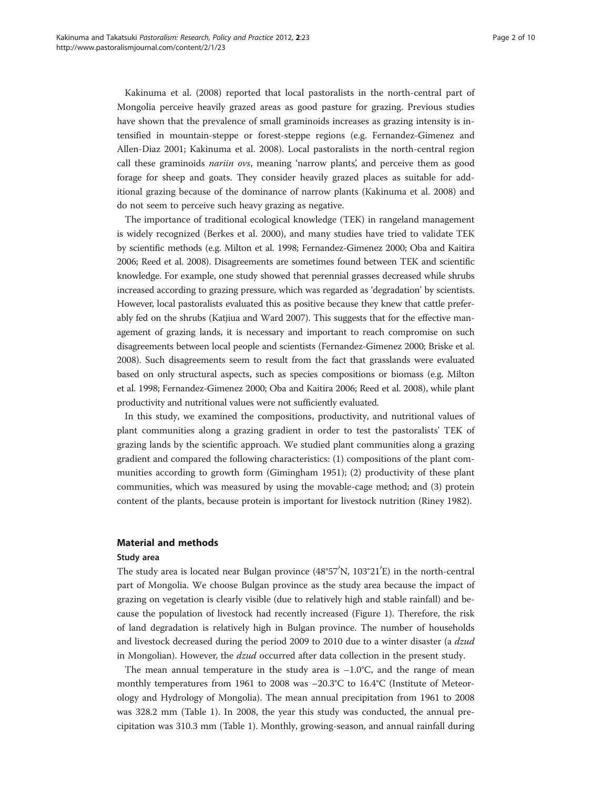Kakinuma et al. [\(2008\)](#page-9-0) reported that local pastoralists in the north-central part of Mongolia perceive heavily grazed areas as good pasture for grazing. Previous studies have shown that the prevalence of small graminoids increases as grazing intensity is intensified in mountain-steppe or forest-steppe regions (e.g. Fernandez-Gimenez and Allen-Diaz [2001;](#page-9-0) Kakinuma et al. [2008](#page-9-0)). Local pastoralists in the north-central region call these graminoids nariin ovs, meaning 'narrow plants', and perceive them as good forage for sheep and goats. They consider heavily grazed places as suitable for additional grazing because of the dominance of narrow plants (Kakinuma et al. [2008\)](#page-9-0) and do not seem to perceive such heavy grazing as negative.

The importance of traditional ecological knowledge (TEK) in rangeland management is widely recognized (Berkes et al. [2000\)](#page-8-0), and many studies have tried to validate TEK by scientific methods (e.g. Milton et al. [1998;](#page-9-0) Fernandez-Gimenez [2000](#page-8-0); Oba and Kaitira [2006;](#page-9-0) Reed et al. [2008](#page-9-0)). Disagreements are sometimes found between TEK and scientific knowledge. For example, one study showed that perennial grasses decreased while shrubs increased according to grazing pressure, which was regarded as 'degradation' by scientists. However, local pastoralists evaluated this as positive because they knew that cattle preferably fed on the shrubs (Katjiua and Ward [2007](#page-9-0)). This suggests that for the effective management of grazing lands, it is necessary and important to reach compromise on such disagreements between local people and scientists (Fernandez-Gimenez [2000](#page-8-0); Briske et al. [2008\)](#page-8-0). Such disagreements seem to result from the fact that grasslands were evaluated based on only structural aspects, such as species compositions or biomass (e.g. Milton et al. [1998;](#page-9-0) Fernandez-Gimenez [2000](#page-8-0); Oba and Kaitira [2006](#page-9-0); Reed et al. [2008](#page-9-0)), while plant productivity and nutritional values were not sufficiently evaluated.

In this study, we examined the compositions, productivity, and nutritional values of plant communities along a grazing gradient in order to test the pastoralists' TEK of grazing lands by the scientific approach. We studied plant communities along a grazing gradient and compared the following characteristics: (1) compositions of the plant communities according to growth form (Gimingham [1951](#page-9-0)); (2) productivity of these plant communities, which was measured by using the movable-cage method; and (3) protein content of the plants, because protein is important for livestock nutrition (Riney [1982\)](#page-9-0).

#### Material and methods

#### Study area

The study area is located near Bulgan province (48°57′N, 103°21′E) in the north-central part of Mongolia. We choose Bulgan province as the study area because the impact of grazing on vegetation is clearly visible (due to relatively high and stable rainfall) and because the population of livestock had recently increased (Figure [1\)](#page-2-0). Therefore, the risk of land degradation is relatively high in Bulgan province. The number of households and livestock decreased during the period 2009 to 2010 due to a winter disaster (a dzud in Mongolian). However, the *dzud* occurred after data collection in the present study.

The mean annual temperature in the study area is  $-1.0^{\circ}$ C, and the range of mean monthly temperatures from 1961 to 2008 was –20.3°C to 16.4°C (Institute of Meteorology and Hydrology of Mongolia). The mean annual precipitation from 1961 to 2008 was 328.2 mm (Table [1](#page-2-0)). In 2008, the year this study was conducted, the annual precipitation was 310.3 mm (Table [1](#page-2-0)). Monthly, growing-season, and annual rainfall during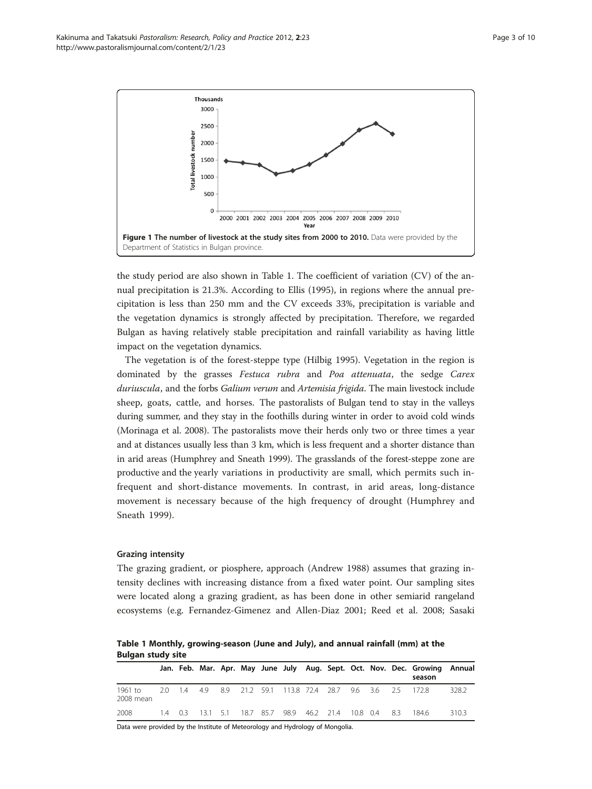<span id="page-2-0"></span>Kakinuma and Takatsuki Pastoralism: Research, Policy and Practice 2012, 2:23 Page 3 of 10 http://www.pastoralismjournal.com/content/2/1/23



the study period are also shown in Table 1. The coefficient of variation (CV) of the annual precipitation is 21.3%. According to Ellis [\(1995\)](#page-8-0), in regions where the annual precipitation is less than 250 mm and the CV exceeds 33%, precipitation is variable and the vegetation dynamics is strongly affected by precipitation. Therefore, we regarded Bulgan as having relatively stable precipitation and rainfall variability as having little impact on the vegetation dynamics.

The vegetation is of the forest-steppe type (Hilbig [1995](#page-9-0)). Vegetation in the region is dominated by the grasses Festuca rubra and Poa attenuata, the sedge Carex duriuscula, and the forbs Galium verum and Artemisia frigida. The main livestock include sheep, goats, cattle, and horses. The pastoralists of Bulgan tend to stay in the valleys during summer, and they stay in the foothills during winter in order to avoid cold winds (Morinaga et al. [2008](#page-9-0)). The pastoralists move their herds only two or three times a year and at distances usually less than 3 km, which is less frequent and a shorter distance than in arid areas (Humphrey and Sneath [1999](#page-9-0)). The grasslands of the forest-steppe zone are productive and the yearly variations in productivity are small, which permits such infrequent and short-distance movements. In contrast, in arid areas, long-distance movement is necessary because of the high frequency of drought (Humphrey and Sneath [1999\)](#page-9-0).

#### Grazing intensity

The grazing gradient, or piosphere, approach (Andrew [1988\)](#page-8-0) assumes that grazing intensity declines with increasing distance from a fixed water point. Our sampling sites were located along a grazing gradient, as has been done in other semiarid rangeland ecosystems (e.g. Fernandez-Gimenez and Allen-Diaz [2001](#page-9-0); Reed et al. [2008](#page-9-0); Sasaki

Table 1 Monthly, growing-season (June and July), and annual rainfall (mm) at the Bulgan study site

|                      |     |  |  |  |                                                         |  | Jan. Feb. Mar. Apr. May June July Aug. Sept. Oct. Nov. Dec. Growing Annual<br>season |       |
|----------------------|-----|--|--|--|---------------------------------------------------------|--|--------------------------------------------------------------------------------------|-------|
| 1961 to<br>2008 mean | 20. |  |  |  | 1.4 4.9 8.9 21.2 59.1 113.8 72.4 28.7 9.6 3.6 2.5 172.8 |  |                                                                                      | 328.2 |
| 2008                 |     |  |  |  | 1.4 0.3 13.1 5.1 18.7 85.7 98.9 46.2 21.4 10.8 0.4 8.3  |  | 184.6                                                                                | 310.3 |

Data were provided by the Institute of Meteorology and Hydrology of Mongolia.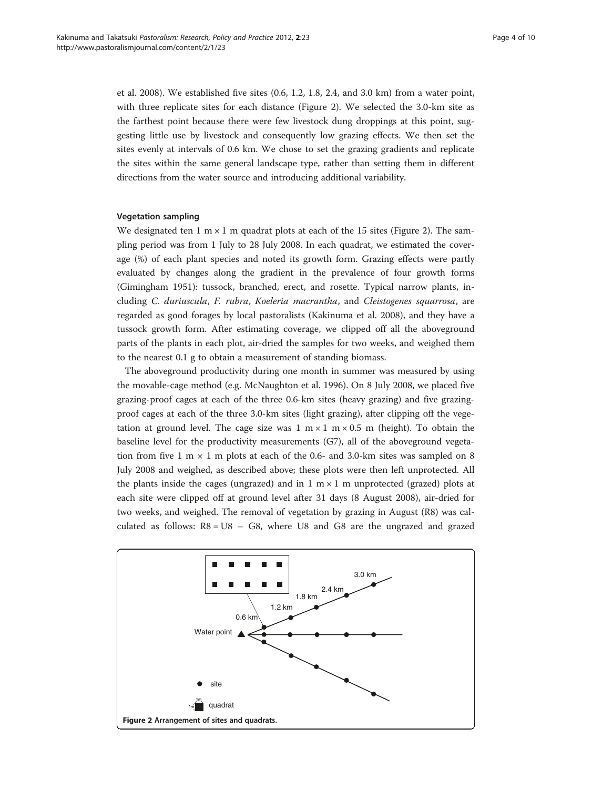et al. [2008](#page-9-0)). We established five sites (0.6, 1.2, 1.8, 2.4, and 3.0 km) from a water point, with three replicate sites for each distance (Figure 2). We selected the 3.0-km site as the farthest point because there were few livestock dung droppings at this point, suggesting little use by livestock and consequently low grazing effects. We then set the sites evenly at intervals of 0.6 km. We chose to set the grazing gradients and replicate the sites within the same general landscape type, rather than setting them in different directions from the water source and introducing additional variability.

#### Vegetation sampling

We designated ten  $1 \text{ m} \times 1 \text{ m}$  quadrat plots at each of the 15 sites (Figure 2). The sampling period was from 1 July to 28 July 2008. In each quadrat, we estimated the coverage (%) of each plant species and noted its growth form. Grazing effects were partly evaluated by changes along the gradient in the prevalence of four growth forms (Gimingham [1951\)](#page-9-0): tussock, branched, erect, and rosette. Typical narrow plants, including C. duriuscula, F. rubra, Koeleria macrantha, and Cleistogenes squarrosa, are regarded as good forages by local pastoralists (Kakinuma et al. [2008\)](#page-9-0), and they have a tussock growth form. After estimating coverage, we clipped off all the aboveground parts of the plants in each plot, air-dried the samples for two weeks, and weighed them to the nearest 0.1 g to obtain a measurement of standing biomass.

The aboveground productivity during one month in summer was measured by using the movable-cage method (e.g. McNaughton et al. [1996](#page-9-0)). On 8 July 2008, we placed five grazing-proof cages at each of the three 0.6-km sites (heavy grazing) and five grazingproof cages at each of the three 3.0-km sites (light grazing), after clipping off the vegetation at ground level. The cage size was  $1 \text{ m} \times 1 \text{ m} \times 0.5 \text{ m}$  (height). To obtain the baseline level for the productivity measurements (G7), all of the aboveground vegetation from five 1 m  $\times$  1 m plots at each of the 0.6- and 3.0-km sites was sampled on 8 July 2008 and weighed, as described above; these plots were then left unprotected. All the plants inside the cages (ungrazed) and in  $1 \text{ m} \times 1 \text{ m}$  unprotected (grazed) plots at each site were clipped off at ground level after 31 days (8 August 2008), air-dried for two weeks, and weighed. The removal of vegetation by grazing in August (R8) was calculated as follows:  $R8 = US - GS$ , where U8 and G8 are the ungrazed and grazed

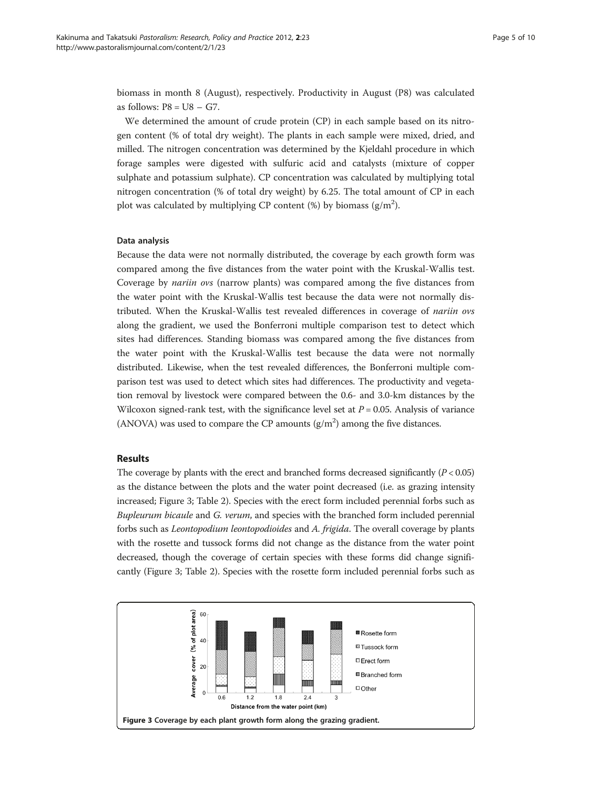<span id="page-4-0"></span>biomass in month 8 (August), respectively. Productivity in August (P8) was calculated as follows:  $P8 = US - G7$ .

We determined the amount of crude protein (CP) in each sample based on its nitrogen content (% of total dry weight). The plants in each sample were mixed, dried, and milled. The nitrogen concentration was determined by the Kjeldahl procedure in which forage samples were digested with sulfuric acid and catalysts (mixture of copper sulphate and potassium sulphate). CP concentration was calculated by multiplying total nitrogen concentration (% of total dry weight) by 6.25. The total amount of CP in each plot was calculated by multiplying CP content (%) by biomass  $(g/m^2)$ .

#### Data analysis

Because the data were not normally distributed, the coverage by each growth form was compared among the five distances from the water point with the Kruskal-Wallis test. Coverage by *nariin ovs* (narrow plants) was compared among the five distances from the water point with the Kruskal-Wallis test because the data were not normally distributed. When the Kruskal-Wallis test revealed differences in coverage of nariin ovs along the gradient, we used the Bonferroni multiple comparison test to detect which sites had differences. Standing biomass was compared among the five distances from the water point with the Kruskal-Wallis test because the data were not normally distributed. Likewise, when the test revealed differences, the Bonferroni multiple comparison test was used to detect which sites had differences. The productivity and vegetation removal by livestock were compared between the 0.6- and 3.0-km distances by the Wilcoxon signed-rank test, with the significance level set at  $P = 0.05$ . Analysis of variance (ANOVA) was used to compare the CP amounts  $(g/m^2)$  among the five distances.

#### Results

The coverage by plants with the erect and branched forms decreased significantly  $(P < 0.05)$ as the distance between the plots and the water point decreased (i.e. as grazing intensity increased; Figure 3; Table [2](#page-5-0)). Species with the erect form included perennial forbs such as Bupleurum bicaule and G. verum, and species with the branched form included perennial forbs such as Leontopodium leontopodioides and A. frigida. The overall coverage by plants with the rosette and tussock forms did not change as the distance from the water point decreased, though the coverage of certain species with these forms did change significantly (Figure 3; Table [2\)](#page-5-0). Species with the rosette form included perennial forbs such as

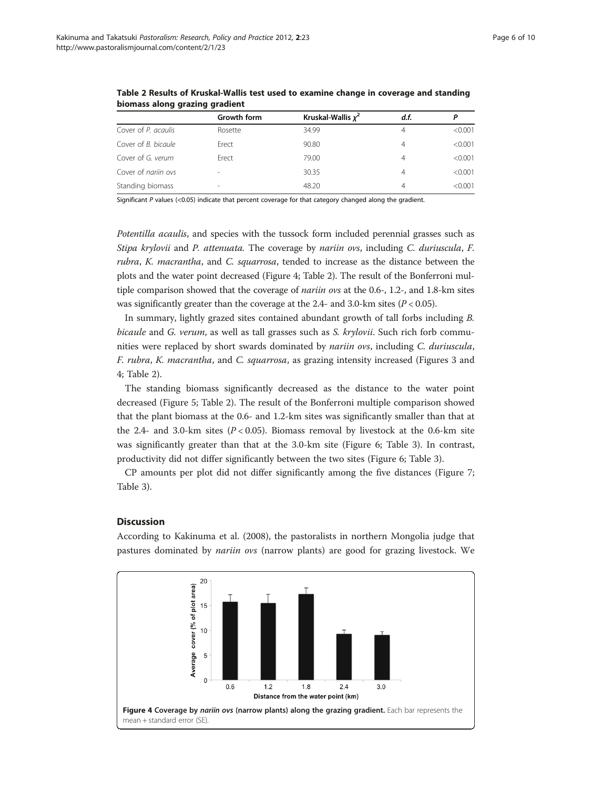|                     | Growth form              | Kruskal-Wallis $x^2$ | d.f.           |         |
|---------------------|--------------------------|----------------------|----------------|---------|
| Cover of P. acaulis | Rosette                  | 34.99                | $\overline{4}$ | < 0.001 |
| Cover of B. bicaule | Erect                    | 90.80                | 4              | < 0.001 |
| Cover of G. verum   | Erect                    | 79.00                | 4              | < 0.001 |
| Cover of nariin ovs |                          | 30.35                | 4              | < 0.001 |
| Standing biomass    | $\overline{\phantom{a}}$ | 48.20                | 4              | < 0.001 |

<span id="page-5-0"></span>Table 2 Results of Kruskal-Wallis test used to examine change in coverage and standing biomass along grazing gradient

Significant P values (<0.05) indicate that percent coverage for that category changed along the gradient.

Potentilla acaulis, and species with the tussock form included perennial grasses such as Stipa krylovii and P. attenuata. The coverage by nariin ovs, including C. duriuscula, F. rubra, K. macrantha, and C. squarrosa, tended to increase as the distance between the plots and the water point decreased (Figure 4; Table 2). The result of the Bonferroni multiple comparison showed that the coverage of *nariin ovs* at the 0.6-, 1.2-, and 1.8-km sites was significantly greater than the coverage at the 2.4- and 3.0-km sites ( $P < 0.05$ ).

In summary, lightly grazed sites contained abundant growth of tall forbs including B. bicaule and G. verum, as well as tall grasses such as S. krylovii. Such rich forb communities were replaced by short swards dominated by nariin ovs, including C. duriuscula, F. rubra, K. macrantha, and C. squarrosa, as grazing intensity increased (Figures [3](#page-4-0) and 4; Table 2).

The standing biomass significantly decreased as the distance to the water point decreased (Figure [5](#page-6-0); Table 2). The result of the Bonferroni multiple comparison showed that the plant biomass at the 0.6- and 1.2-km sites was significantly smaller than that at the 2.4- and 3.0-km sites ( $P < 0.05$ ). Biomass removal by livestock at the 0.6-km site was significantly greater than that at the 3.0-km site (Figure [6](#page-6-0); Table [3\)](#page-7-0). In contrast, productivity did not differ significantly between the two sites (Figure [6;](#page-6-0) Table [3\)](#page-7-0).

CP amounts per plot did not differ significantly among the five distances (Figure [7](#page-7-0); Table [3\)](#page-7-0).

#### **Discussion**

According to Kakinuma et al. ([2008](#page-9-0)), the pastoralists in northern Mongolia judge that pastures dominated by nariin ovs (narrow plants) are good for grazing livestock. We

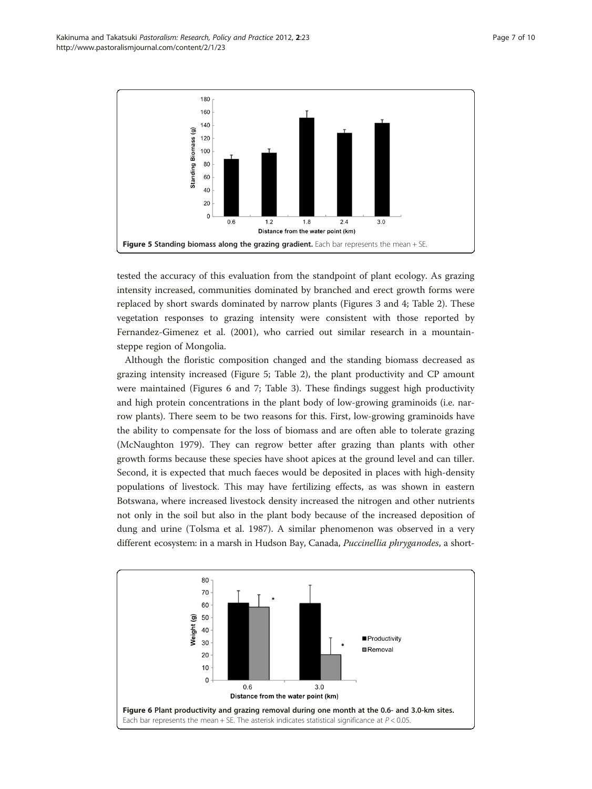<span id="page-6-0"></span>

tested the accuracy of this evaluation from the standpoint of plant ecology. As grazing intensity increased, communities dominated by branched and erect growth forms were replaced by short swards dominated by narrow plants (Figures [3](#page-4-0) and [4](#page-5-0); Table [2\)](#page-5-0). These vegetation responses to grazing intensity were consistent with those reported by Fernandez-Gimenez et al. [\(2001\)](#page-9-0), who carried out similar research in a mountainsteppe region of Mongolia.

Although the floristic composition changed and the standing biomass decreased as grazing intensity increased (Figure 5; Table [2](#page-5-0)), the plant productivity and CP amount were maintained (Figures 6 and [7;](#page-7-0) Table [3](#page-7-0)). These findings suggest high productivity and high protein concentrations in the plant body of low-growing graminoids (i.e. narrow plants). There seem to be two reasons for this. First, low-growing graminoids have the ability to compensate for the loss of biomass and are often able to tolerate grazing (McNaughton [1979](#page-9-0)). They can regrow better after grazing than plants with other growth forms because these species have shoot apices at the ground level and can tiller. Second, it is expected that much faeces would be deposited in places with high-density populations of livestock. This may have fertilizing effects, as was shown in eastern Botswana, where increased livestock density increased the nitrogen and other nutrients not only in the soil but also in the plant body because of the increased deposition of dung and urine (Tolsma et al. [1987\)](#page-9-0). A similar phenomenon was observed in a very different ecosystem: in a marsh in Hudson Bay, Canada, Puccinellia phryganodes, a short-

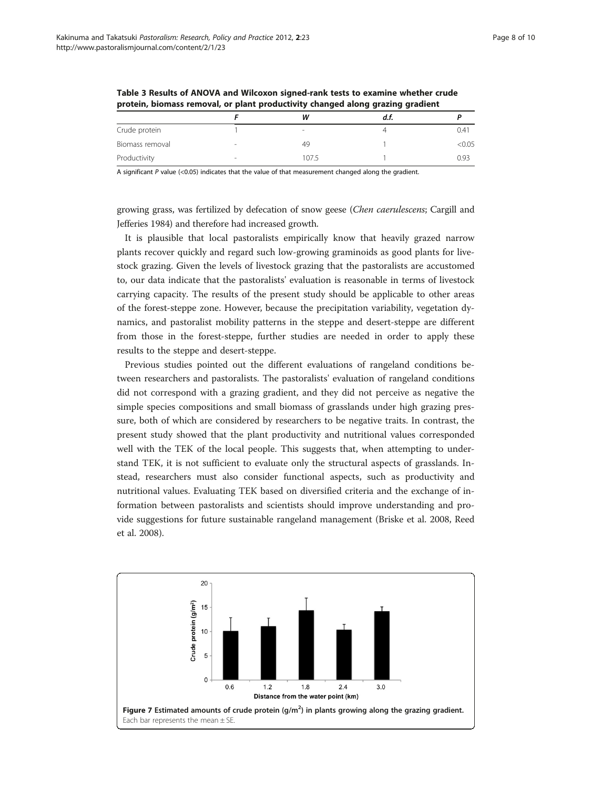| protein, promass removal, or plant productivity changed along grazing gradient |   |                          |      |        |  |  |  |
|--------------------------------------------------------------------------------|---|--------------------------|------|--------|--|--|--|
|                                                                                |   | w                        | d.t. |        |  |  |  |
| Crude protein                                                                  |   | $\overline{\phantom{a}}$ |      | 0.41   |  |  |  |
| Biomass removal                                                                | - | 49                       |      | < 0.05 |  |  |  |
| Productivity                                                                   | - | 107.5                    |      | 0.93   |  |  |  |

<span id="page-7-0"></span>Table 3 Results of ANOVA and Wilcoxon signed-rank tests to examine whether crude protein, biomass removal, or plant productivity changed along grazing gradient

A significant P value (<0.05) indicates that the value of that measurement changed along the gradient.

growing grass, was fertilized by defecation of snow geese (Chen caerulescens; Cargill and Jefferies [1984\)](#page-8-0) and therefore had increased growth.

It is plausible that local pastoralists empirically know that heavily grazed narrow plants recover quickly and regard such low-growing graminoids as good plants for livestock grazing. Given the levels of livestock grazing that the pastoralists are accustomed to, our data indicate that the pastoralists' evaluation is reasonable in terms of livestock carrying capacity. The results of the present study should be applicable to other areas of the forest-steppe zone. However, because the precipitation variability, vegetation dynamics, and pastoralist mobility patterns in the steppe and desert-steppe are different from those in the forest-steppe, further studies are needed in order to apply these results to the steppe and desert-steppe.

Previous studies pointed out the different evaluations of rangeland conditions between researchers and pastoralists. The pastoralists' evaluation of rangeland conditions did not correspond with a grazing gradient, and they did not perceive as negative the simple species compositions and small biomass of grasslands under high grazing pressure, both of which are considered by researchers to be negative traits. In contrast, the present study showed that the plant productivity and nutritional values corresponded well with the TEK of the local people. This suggests that, when attempting to understand TEK, it is not sufficient to evaluate only the structural aspects of grasslands. Instead, researchers must also consider functional aspects, such as productivity and nutritional values. Evaluating TEK based on diversified criteria and the exchange of information between pastoralists and scientists should improve understanding and provide suggestions for future sustainable rangeland management (Briske et al. [2008](#page-8-0), Reed et al. [2008\)](#page-9-0).

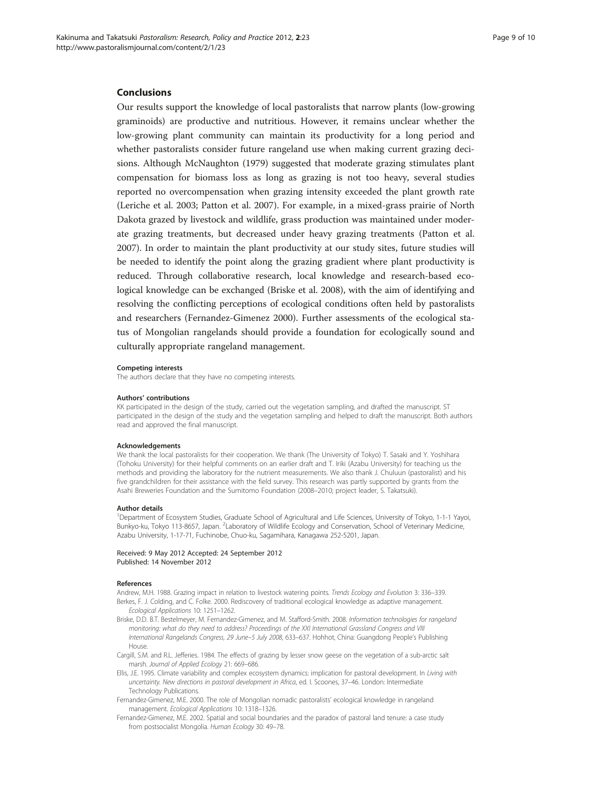#### <span id="page-8-0"></span>Conclusions

Our results support the knowledge of local pastoralists that narrow plants (low-growing graminoids) are productive and nutritious. However, it remains unclear whether the low-growing plant community can maintain its productivity for a long period and whether pastoralists consider future rangeland use when making current grazing decisions. Although McNaughton [\(1979\)](#page-9-0) suggested that moderate grazing stimulates plant compensation for biomass loss as long as grazing is not too heavy, several studies reported no overcompensation when grazing intensity exceeded the plant growth rate (Leriche et al. [2003](#page-9-0); Patton et al. [2007](#page-9-0)). For example, in a mixed-grass prairie of North Dakota grazed by livestock and wildlife, grass production was maintained under moderate grazing treatments, but decreased under heavy grazing treatments (Patton et al. [2007](#page-9-0)). In order to maintain the plant productivity at our study sites, future studies will be needed to identify the point along the grazing gradient where plant productivity is reduced. Through collaborative research, local knowledge and research-based ecological knowledge can be exchanged (Briske et al. 2008), with the aim of identifying and resolving the conflicting perceptions of ecological conditions often held by pastoralists and researchers (Fernandez-Gimenez 2000). Further assessments of the ecological status of Mongolian rangelands should provide a foundation for ecologically sound and culturally appropriate rangeland management.

#### Competing interests

The authors declare that they have no competing interests.

#### Authors' contributions

KK participated in the design of the study, carried out the vegetation sampling, and drafted the manuscript. ST participated in the design of the study and the vegetation sampling and helped to draft the manuscript. Both authors read and approved the final manuscript.

#### Acknowledgements

We thank the local pastoralists for their cooperation. We thank (The University of Tokyo) T. Sasaki and Y. Yoshihara (Tohoku University) for their helpful comments on an earlier draft and T. Iriki (Azabu University) for teaching us the methods and providing the laboratory for the nutrient measurements. We also thank J. Chuluun (pastoralist) and his five grandchildren for their assistance with the field survey. This research was partly supported by grants from the Asahi Breweries Foundation and the Sumitomo Foundation (2008–2010; project leader, S. Takatsuki).

#### Author details

<sup>1</sup>Department of Ecosystem Studies, Graduate School of Agricultural and Life Sciences, University of Tokyo, 1-1-1 Yayoi, Bunkyo-ku, Tokyo 113-8657, Japan. <sup>2</sup>Laboratory of Wildlife Ecology and Conservation, School of Veterinary Medicine, Azabu University, 1-17-71, Fuchinobe, Chuo-ku, Sagamihara, Kanagawa 252-5201, Japan.

#### Received: 9 May 2012 Accepted: 24 September 2012 Published: 14 November 2012

#### References

Andrew, M.H. 1988. Grazing impact in relation to livestock watering points. Trends Ecology and Evolution 3: 336–339. Berkes, F. J. Colding, and C. Folke. 2000. Rediscovery of traditional ecological knowledge as adaptive management. Ecological Applications 10: 1251–1262.

- Briske, D.D. B.T. Bestelmeyer, M. Fernandez-Gimenez, and M. Stafford-Smith. 2008. Information technologies for rangeland monitoring: what do they need to address? Proceedings of the XXI International Grassland Congress and VIII International Rangelands Congress, 29 June–5 July 2008, 633–637. Hohhot, China: Guangdong People's Publishing House.
- Cargill, S.M. and R.L. Jefferies. 1984. The effects of grazing by lesser snow geese on the vegetation of a sub-arctic salt marsh. Journal of Applied Ecology 21: 669–686.
- Ellis, J.E. 1995. Climate variability and complex ecosystem dynamics: implication for pastoral development. In Living with uncertainty. New directions in pastoral development in Africa, ed. I. Scoones, 37–46. London: Intermediate Technology Publications.
- Fernandez-Gimenez, M.E. 2000. The role of Mongolian nomadic pastoralists' ecological knowledge in rangeland management. Ecological Applications 10: 1318–1326.
- Fernandez-Gimenez, M.E. 2002. Spatial and social boundaries and the paradox of pastoral land tenure: a case study from postsocialist Mongolia. Human Ecology 30: 49–78.